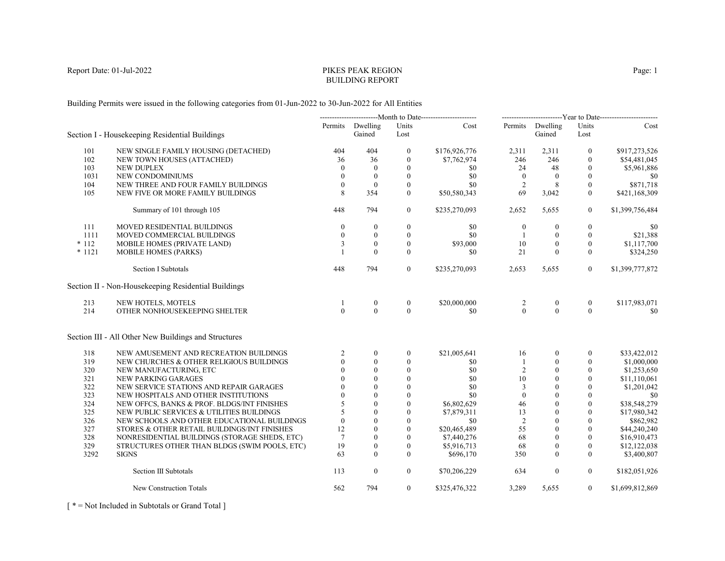# PIKES PEAK REGIONBUILDING REPORT

Building Permits were issued in the following categories from 01-Jun-2022 to 30-Jun-2022 for All Entities

|          |                                                      |                 |                            |                  | -----------------------------Month to Date----------------------- |                |                            |                  | -------------------------Year to Date------------------------ |
|----------|------------------------------------------------------|-----------------|----------------------------|------------------|-------------------------------------------------------------------|----------------|----------------------------|------------------|---------------------------------------------------------------|
|          | Section I - Housekeeping Residential Buildings       |                 | Permits Dwelling<br>Gained | Units<br>Lost    | Cost                                                              |                | Permits Dwelling<br>Gained | Units<br>Lost    | Cost                                                          |
| 101      | NEW SINGLE FAMILY HOUSING (DETACHED)                 | 404             | 404                        | $\mathbf{0}$     | \$176,926,776                                                     | 2,311          | 2,311                      | $\mathbf{0}$     | \$917,273,526                                                 |
| 102      | NEW TOWN HOUSES (ATTACHED)                           | 36              | 36                         | $\boldsymbol{0}$ | \$7,762,974                                                       | 246            | 246                        | $\mathbf{0}$     | \$54,481,045                                                  |
| 103      | <b>NEW DUPLEX</b>                                    | $\Omega$        | $\mathbf{0}$               | $\mathbf{0}$     | \$0                                                               | 24             | 48                         | $\theta$         | \$5,961,886                                                   |
| 1031     | NEW CONDOMINIUMS                                     | $\Omega$        | $\mathbf{0}$               | $\mathbf{0}$     | \$0                                                               | $\overline{0}$ | $\theta$                   | $\mathbf{0}$     | \$0                                                           |
| 104      | NEW THREE AND FOUR FAMILY BUILDINGS                  | $\theta$        | $\mathbf{0}$               | $\mathbf{0}$     | \$0                                                               | 2              | 8                          | $\mathbf{0}$     | \$871,718                                                     |
| 105      | NEW FIVE OR MORE FAMILY BUILDINGS                    | 8               | 354                        | $\mathbf{0}$     | \$50,580,343                                                      | 69             | 3,042                      | $\mathbf{0}$     | \$421,168,309                                                 |
|          | Summary of 101 through 105                           | 448             | 794                        | $\overline{0}$   | \$235,270,093                                                     | 2,652          | 5,655                      | $\boldsymbol{0}$ | \$1,399,756,484                                               |
| 111      | MOVED RESIDENTIAL BUILDINGS                          | $\theta$        | $\bf{0}$                   | $\boldsymbol{0}$ | \$0                                                               | $\bf{0}$       | $\mathbf{0}$               | $\mathbf{0}$     | \$0                                                           |
| 1111     | MOVED COMMERCIAL BUILDINGS                           | $\mathbf{0}$    | $\mathbf{0}$               | $\mathbf{0}$     | \$0                                                               | 1              | $\mathbf{0}$               | $\boldsymbol{0}$ | \$21,388                                                      |
| $*112$   | MOBILE HOMES (PRIVATE LAND)                          | 3               | $\theta$                   | $\mathbf{0}$     | \$93,000                                                          | 10             | $\mathbf{0}$               | $\mathbf{0}$     | \$1,117,700                                                   |
| $* 1121$ | MOBILE HOMES (PARKS)                                 |                 | $\theta$                   | $\theta$         | \$0                                                               | 21             | $\theta$                   | $\mathbf{0}$     | \$324,250                                                     |
|          | <b>Section I Subtotals</b>                           | 448             | 794                        | $\mathbf{0}$     | \$235,270,093                                                     | 2,653          | 5,655                      | $\overline{0}$   | \$1,399,777,872                                               |
|          | Section II - Non-Housekeeping Residential Buildings  |                 |                            |                  |                                                                   |                |                            |                  |                                                               |
| 213      | NEW HOTELS, MOTELS                                   | -1              | $\boldsymbol{0}$           | $\boldsymbol{0}$ | \$20,000,000                                                      | 2              | $\boldsymbol{0}$           | $\boldsymbol{0}$ | \$117,983,071                                                 |
| 214      | OTHER NONHOUSEKEEPING SHELTER                        | $\theta$        | $\theta$                   | $\theta$         | \$0                                                               | $\theta$       | $\theta$                   | $\theta$         | \$0                                                           |
|          | Section III - All Other New Buildings and Structures |                 |                            |                  |                                                                   |                |                            |                  |                                                               |
| 318      | NEW AMUSEMENT AND RECREATION BUILDINGS               | $\overline{2}$  | $\mathbf{0}$               | $\boldsymbol{0}$ | \$21,005,641                                                      | 16             | $\mathbf{0}$               | $\Omega$         | \$33,422,012                                                  |
| 319      | NEW CHURCHES & OTHER RELIGIOUS BUILDINGS             | $\Omega$        | $\theta$                   | $\mathbf{0}$     | \$0                                                               | -1             | $\theta$                   | $\Omega$         | \$1,000,000                                                   |
| 320      | NEW MANUFACTURING, ETC                               | $\Omega$        | $\theta$                   | $\mathbf{0}$     | \$0                                                               | 2              | $\Omega$                   | $\mathbf{0}$     | \$1,253,650                                                   |
| 321      | NEW PARKING GARAGES                                  |                 | $\Omega$                   | $\theta$         | \$0                                                               | 10             | $\theta$                   | $\Omega$         | \$11,110,061                                                  |
| 322      | NEW SERVICE STATIONS AND REPAIR GARAGES              |                 | $\theta$                   | $\mathbf{0}$     | \$0                                                               | 3              | $\mathbf{0}$               | $\mathbf{0}$     | \$1,201,042                                                   |
| 323      | NEW HOSPITALS AND OTHER INSTITUTIONS                 | $\Omega$        | $\mathbf{0}$               | $\mathbf{0}$     | \$0                                                               | $\mathbf{0}$   | $\theta$                   | $\mathbf{0}$     | \$0                                                           |
| 324      | NEW OFFCS, BANKS & PROF. BLDGS/INT FINISHES          |                 | $\theta$                   | $\mathbf{0}$     | \$6,802,629                                                       | 46             | $\mathbf{0}$               | $\mathbf{0}$     | \$38,548,279                                                  |
| 325      | NEW PUBLIC SERVICES & UTILITIES BUILDINGS            | 5               | $\theta$                   | $\theta$         | \$7,879,311                                                       | 13             | $\theta$                   | $\theta$         | \$17,980,342                                                  |
| 326      | NEW SCHOOLS AND OTHER EDUCATIONAL BUILDINGS          | $\theta$        | $\theta$                   | $\boldsymbol{0}$ | \$0                                                               | $\overline{2}$ | $\theta$                   | $\mathbf{0}$     | \$862,982                                                     |
| 327      | STORES & OTHER RETAIL BUILDINGS/INT FINISHES         | 12              | $\theta$                   | $\mathbf{0}$     | \$20,465,489                                                      | 55             | $\theta$                   | $\mathbf{0}$     | \$44,240,240                                                  |
| 328      | NONRESIDENTIAL BUILDINGS (STORAGE SHEDS, ETC)        | $7\phantom{.0}$ | $\Omega$                   | $\theta$         | \$7,440,276                                                       | 68             | $\theta$                   | $\Omega$         | \$16,910,473                                                  |
| 329      | STRUCTURES OTHER THAN BLDGS (SWIM POOLS, ETC)        | 19              | $\theta$                   | $\boldsymbol{0}$ | \$5,916,713                                                       | 68             | $\mathbf{0}$               | $\mathbf{0}$     | \$12,122,038                                                  |
| 3292     | <b>SIGNS</b>                                         | 63              | $\theta$                   | $\theta$         | \$696,170                                                         | 350            | $\theta$                   | $\mathbf{0}$     | \$3,400,807                                                   |
|          | Section III Subtotals                                | 113             | $\mathbf{0}$               | $\mathbf{0}$     | \$70,206,229                                                      | 634            | $\mathbf{0}$               | $\overline{0}$   | \$182,051,926                                                 |
|          | New Construction Totals                              | 562             | 794                        | $\overline{0}$   | \$325,476,322                                                     | 3,289          | 5,655                      | $\overline{0}$   | \$1,699,812,869                                               |

[ \* = Not Included in Subtotals or Grand Total ]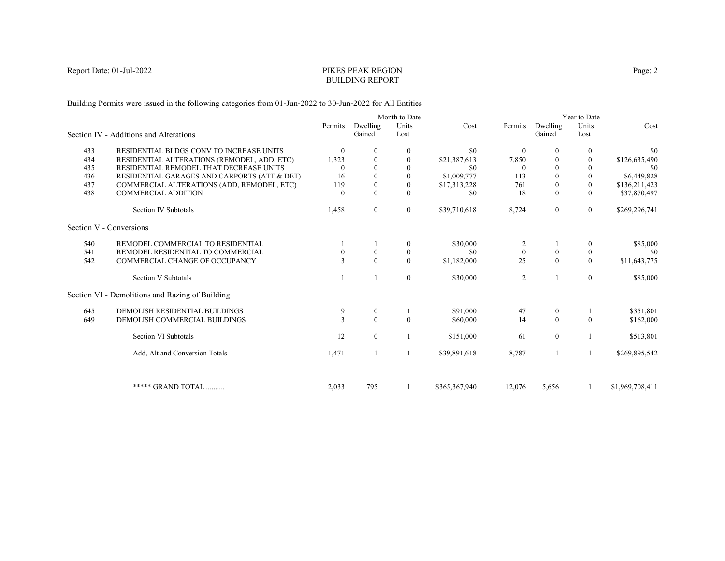# PIKES PEAK REGIONBUILDING REPORT

Building Permits were issued in the following categories from 01-Jun-2022 to 30-Jun-2022 for All Entities

|     |                                                 |              |                    |               | ---------------------------Month to Date----------------------- |              |                    |                          | ------------------------Year to Date------------------------ |
|-----|-------------------------------------------------|--------------|--------------------|---------------|-----------------------------------------------------------------|--------------|--------------------|--------------------------|--------------------------------------------------------------|
|     | Section IV - Additions and Alterations          | Permits      | Dwelling<br>Gained | Units<br>Lost | Cost                                                            | Permits      | Dwelling<br>Gained | Units<br>Lost            | Cost                                                         |
| 433 | RESIDENTIAL BLDGS CONV TO INCREASE UNITS        | $\theta$     | $\bf{0}$           | 0             | \$0                                                             | $\mathbf{0}$ | $\bf{0}$           | $\bf{0}$                 | \$0                                                          |
| 434 | RESIDENTIAL ALTERATIONS (REMODEL, ADD, ETC)     | 1,323        | $\Omega$           | $\theta$      | \$21,387,613                                                    | 7,850        | $\Omega$           | $\mathbf{0}$             | \$126,635,490                                                |
| 435 | RESIDENTIAL REMODEL THAT DECREASE UNITS         |              |                    |               | \$0                                                             | $\Omega$     |                    |                          | -\$0                                                         |
| 436 | RESIDENTIAL GARAGES AND CARPORTS (ATT & DET)    | 16           |                    | $\mathbf{0}$  | \$1,009,777                                                     | 113          |                    | $\mathbf{0}$             | \$6,449,828                                                  |
| 437 | COMMERCIAL ALTERATIONS (ADD, REMODEL, ETC)      | 119          |                    | $\mathbf{0}$  | \$17,313,228                                                    | 761          | $\theta$           | $\mathbf{0}$             | \$136,211,423                                                |
| 438 | <b>COMMERCIAL ADDITION</b>                      | $\Omega$     | $\Omega$           | $\Omega$      | \$0                                                             | 18           | $\Omega$           | $\Omega$                 | \$37,870,497                                                 |
|     | Section IV Subtotals                            | 1,458        | $\overline{0}$     | $\bf{0}$      | \$39,710,618                                                    | 8,724        | $\boldsymbol{0}$   | $\overline{0}$           | \$269,296,741                                                |
|     | Section V - Conversions                         |              |                    |               |                                                                 |              |                    |                          |                                                              |
| 540 | REMODEL COMMERCIAL TO RESIDENTIAL               |              |                    | $\theta$      | \$30,000                                                        |              |                    | $\left($                 | \$85,000                                                     |
| 541 | REMODEL RESIDENTIAL TO COMMERCIAL               |              |                    | $\mathbf{0}$  | \$0                                                             | $\mathbf{0}$ | $\boldsymbol{0}$   | $\mathbf{0}$             | -\$0                                                         |
| 542 | COMMERCIAL CHANGE OF OCCUPANCY                  | $\mathbf{3}$ | $\Omega$           | $\Omega$      | \$1,182,000                                                     | 25           | $\theta$           | $\theta$                 | \$11,643,775                                                 |
|     | Section V Subtotals                             |              |                    | $\mathbf{0}$  | \$30,000                                                        | 2            |                    | $\overline{0}$           | \$85,000                                                     |
|     | Section VI - Demolitions and Razing of Building |              |                    |               |                                                                 |              |                    |                          |                                                              |
| 645 | DEMOLISH RESIDENTIAL BUILDINGS                  | 9            | $\bf{0}$           |               | \$91,000                                                        | 47           | $\theta$           |                          | \$351,801                                                    |
| 649 | DEMOLISH COMMERCIAL BUILDINGS                   | $\mathbf{3}$ | $\Omega$           | $\Omega$      | \$60,000                                                        | 14           | $\theta$           | $\theta$                 | \$162,000                                                    |
|     | Section VI Subtotals                            | 12           | $\overline{0}$     |               | \$151,000                                                       | 61           | $\mathbf{0}$       |                          | \$513,801                                                    |
|     | Add, Alt and Conversion Totals                  | 1,471        |                    |               | \$39,891,618                                                    | 8,787        |                    | $\overline{\phantom{a}}$ | \$269,895,542                                                |
|     |                                                 |              |                    |               |                                                                 |              |                    |                          |                                                              |
|     | ***** GRAND TOTAL                               | 2,033        | 795                |               | \$365,367,940                                                   | 12,076       | 5,656              | -1                       | \$1,969,708,411                                              |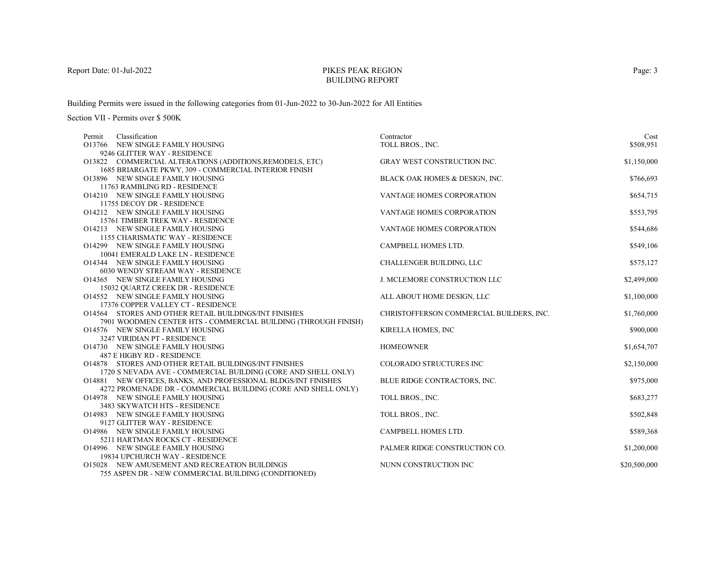# PIKES PEAK REGIONBUILDING REPORT

Building Permits were issued in the following categories from 01-Jun-2022 to 30-Jun-2022 for All Entities

| Classification<br>Permit                                              | Contractor                               | Cost         |
|-----------------------------------------------------------------------|------------------------------------------|--------------|
| O13766 NEW SINGLE FAMILY HOUSING                                      | TOLL BROS., INC.                         | \$508,951    |
| 9246 GLITTER WAY - RESIDENCE                                          |                                          |              |
| O13822 COMMERCIAL ALTERATIONS (ADDITIONS, REMODELS, ETC)              | <b>GRAY WEST CONSTRUCTION INC.</b>       | \$1,150,000  |
| 1685 BRIARGATE PKWY, 309 - COMMERCIAL INTERIOR FINISH                 |                                          |              |
| O13896 NEW SINGLE FAMILY HOUSING                                      | BLACK OAK HOMES & DESIGN, INC.           | \$766,693    |
| 11763 RAMBLING RD - RESIDENCE                                         |                                          |              |
| O14210 NEW SINGLE FAMILY HOUSING                                      | VANTAGE HOMES CORPORATION                | \$654,715    |
| 11755 DECOY DR - RESIDENCE                                            |                                          |              |
| O14212 NEW SINGLE FAMILY HOUSING                                      | VANTAGE HOMES CORPORATION                | \$553,795    |
| 15761 TIMBER TREK WAY - RESIDENCE                                     |                                          |              |
| O14213 NEW SINGLE FAMILY HOUSING                                      | VANTAGE HOMES CORPORATION                | \$544,686    |
| 1155 CHARISMATIC WAY - RESIDENCE                                      |                                          |              |
| O14299 NEW SINGLE FAMILY HOUSING                                      | CAMPBELL HOMES LTD.                      | \$549,106    |
| 10041 EMERALD LAKE LN - RESIDENCE                                     |                                          |              |
| O14344 NEW SINGLE FAMILY HOUSING                                      | CHALLENGER BUILDING, LLC                 | \$575,127    |
| 6030 WENDY STREAM WAY - RESIDENCE                                     |                                          |              |
| O14365 NEW SINGLE FAMILY HOUSING                                      | J. MCLEMORE CONSTRUCTION LLC             | \$2,499,000  |
| 15032 QUARTZ CREEK DR - RESIDENCE                                     |                                          |              |
| O14552 NEW SINGLE FAMILY HOUSING                                      | ALL ABOUT HOME DESIGN, LLC               | \$1,100,000  |
| 17376 COPPER VALLEY CT - RESIDENCE                                    |                                          |              |
| O14564 STORES AND OTHER RETAIL BUILDINGS/INT FINISHES                 | CHRISTOFFERSON COMMERCIAL BUILDERS, INC. | \$1,760,000  |
| 7901 WOODMEN CENTER HTS - COMMERCIAL BUILDING (THROUGH FINISH)        |                                          |              |
| O14576 NEW SINGLE FAMILY HOUSING                                      | KIRELLA HOMES, INC                       | \$900,000    |
| 3247 VIRIDIAN PT - RESIDENCE                                          |                                          |              |
| O14730 NEW SINGLE FAMILY HOUSING                                      | <b>HOMEOWNER</b>                         | \$1,654,707  |
| 487 E HIGBY RD - RESIDENCE                                            |                                          |              |
| <b>O14878 STORES AND OTHER RETAIL BUILDINGS/INT FINISHES</b>          | COLORADO STRUCTURES INC                  | \$2,150,000  |
| 1720 S NEVADA AVE - COMMERCIAL BUILDING (CORE AND SHELL ONLY)         |                                          |              |
| <b>O14881 NEW OFFICES, BANKS, AND PROFESSIONAL BLDGS/INT FINISHES</b> | BLUE RIDGE CONTRACTORS, INC.             | \$975,000    |
| 4272 PROMENADE DR - COMMERCIAL BUILDING (CORE AND SHELL ONLY)         |                                          |              |
| O14978 NEW SINGLE FAMILY HOUSING                                      | TOLL BROS., INC.                         | \$683,277    |
| 3483 SKYWATCH HTS - RESIDENCE                                         |                                          |              |
| O14983 NEW SINGLE FAMILY HOUSING                                      | TOLL BROS., INC.                         | \$502,848    |
| 9127 GLITTER WAY - RESIDENCE                                          |                                          |              |
| O14986 NEW SINGLE FAMILY HOUSING                                      | CAMPBELL HOMES LTD.                      | \$589,368    |
| 5211 HARTMAN ROCKS CT - RESIDENCE                                     |                                          |              |
| O14996 NEW SINGLE FAMILY HOUSING                                      | PALMER RIDGE CONSTRUCTION CO.            | \$1,200,000  |
| 19834 UPCHURCH WAY - RESIDENCE                                        |                                          |              |
| O15028 NEW AMUSEMENT AND RECREATION BUILDINGS                         | NUNN CONSTRUCTION INC                    | \$20,500,000 |
| 755 ASPEN DR - NEW COMMERCIAL BUILDING (CONDITIONED)                  |                                          |              |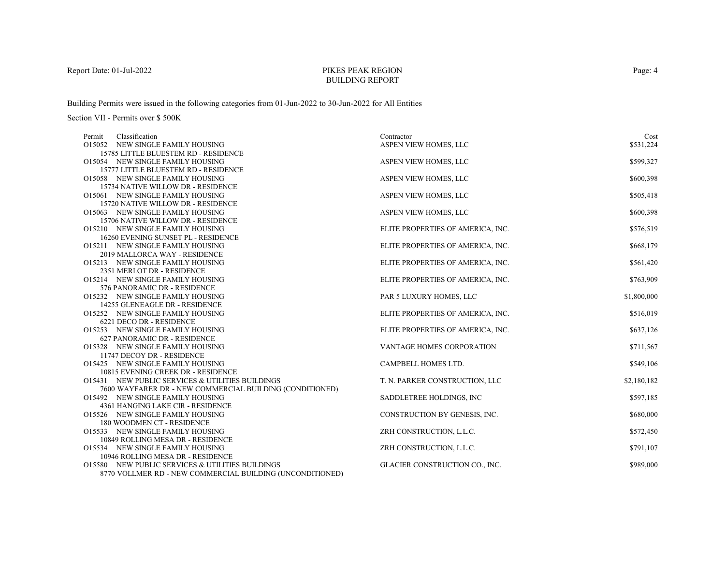# PIKES PEAK REGIONBUILDING REPORT

Building Permits were issued in the following categories from 01-Jun-2022 to 30-Jun-2022 for All Entities

| Classification<br>Permit                                     | Contractor                        | Cost        |
|--------------------------------------------------------------|-----------------------------------|-------------|
| O15052 NEW SINGLE FAMILY HOUSING                             | ASPEN VIEW HOMES, LLC             | \$531,224   |
| 15785 LITTLE BLUESTEM RD - RESIDENCE                         |                                   |             |
| O15054 NEW SINGLE FAMILY HOUSING                             | ASPEN VIEW HOMES, LLC             | \$599,327   |
| 15777 LITTLE BLUESTEM RD - RESIDENCE                         |                                   |             |
| O15058 NEW SINGLE FAMILY HOUSING                             | ASPEN VIEW HOMES, LLC             | \$600,398   |
| 15734 NATIVE WILLOW DR - RESIDENCE                           |                                   |             |
| O15061 NEW SINGLE FAMILY HOUSING                             | ASPEN VIEW HOMES, LLC             | \$505,418   |
| 15720 NATIVE WILLOW DR - RESIDENCE                           |                                   |             |
| O15063 NEW SINGLE FAMILY HOUSING                             | ASPEN VIEW HOMES, LLC             | \$600,398   |
| 15706 NATIVE WILLOW DR - RESIDENCE                           |                                   |             |
| O15210 NEW SINGLE FAMILY HOUSING                             | ELITE PROPERTIES OF AMERICA, INC. | \$576,519   |
| 16260 EVENING SUNSET PL - RESIDENCE                          |                                   |             |
| O15211 NEW SINGLE FAMILY HOUSING                             | ELITE PROPERTIES OF AMERICA, INC. | \$668,179   |
| 2019 MALLORCA WAY - RESIDENCE                                |                                   |             |
| O15213 NEW SINGLE FAMILY HOUSING                             | ELITE PROPERTIES OF AMERICA, INC. | \$561,420   |
| 2351 MERLOT DR - RESIDENCE                                   |                                   |             |
| O15214 NEW SINGLE FAMILY HOUSING                             | ELITE PROPERTIES OF AMERICA, INC. | \$763,909   |
| 576 PANORAMIC DR - RESIDENCE                                 |                                   |             |
| O15232 NEW SINGLE FAMILY HOUSING                             | PAR 5 LUXURY HOMES, LLC           | \$1,800,000 |
| 14255 GLENEAGLE DR - RESIDENCE                               |                                   |             |
| O15252 NEW SINGLE FAMILY HOUSING                             | ELITE PROPERTIES OF AMERICA, INC. | \$516,019   |
| 6221 DECO DR - RESIDENCE<br>O15253 NEW SINGLE FAMILY HOUSING |                                   |             |
| 627 PANORAMIC DR - RESIDENCE                                 | ELITE PROPERTIES OF AMERICA, INC. | \$637,126   |
| O15328 NEW SINGLE FAMILY HOUSING                             | VANTAGE HOMES CORPORATION         | \$711,567   |
| 11747 DECOY DR - RESIDENCE                                   |                                   |             |
| O15425 NEW SINGLE FAMILY HOUSING                             | CAMPBELL HOMES LTD.               | \$549,106   |
| 10815 EVENING CREEK DR - RESIDENCE                           |                                   |             |
| O15431 NEW PUBLIC SERVICES & UTILITIES BUILDINGS             | T. N. PARKER CONSTRUCTION, LLC    | \$2,180,182 |
| 7600 WAYFARER DR - NEW COMMERCIAL BUILDING (CONDITIONED)     |                                   |             |
| O15492 NEW SINGLE FAMILY HOUSING                             | SADDLETREE HOLDINGS, INC          | \$597,185   |
| 4361 HANGING LAKE CIR - RESIDENCE                            |                                   |             |
| O15526 NEW SINGLE FAMILY HOUSING                             | CONSTRUCTION BY GENESIS, INC.     | \$680,000   |
| 180 WOODMEN CT - RESIDENCE                                   |                                   |             |
| O15533 NEW SINGLE FAMILY HOUSING                             | ZRH CONSTRUCTION, L.L.C.          | \$572,450   |
| 10849 ROLLING MESA DR - RESIDENCE                            |                                   |             |
| O15534 NEW SINGLE FAMILY HOUSING                             | ZRH CONSTRUCTION, L.L.C.          | \$791,107   |
| 10946 ROLLING MESA DR - RESIDENCE                            |                                   |             |
| O15580 NEW PUBLIC SERVICES & UTILITIES BUILDINGS             | GLACIER CONSTRUCTION CO., INC.    | \$989,000   |
| 8770 VOLLMER RD - NEW COMMERCIAL BUILDING (UNCONDITIONED)    |                                   |             |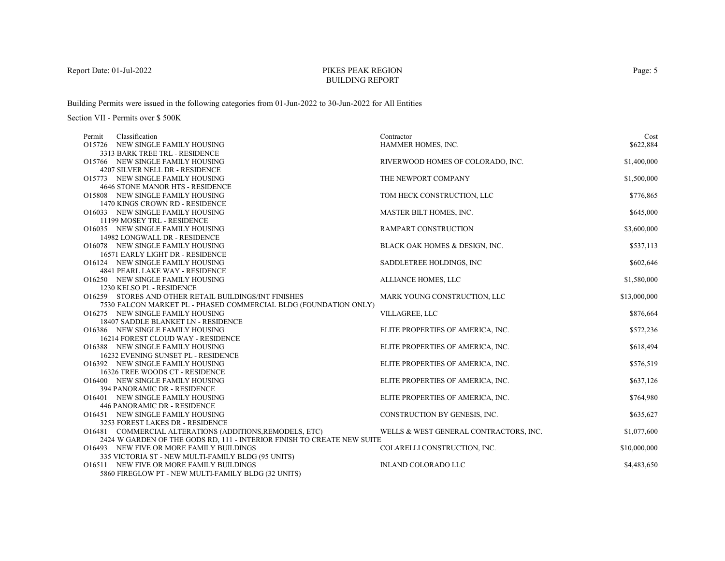# PIKES PEAK REGIONBUILDING REPORT

Building Permits were issued in the following categories from 01-Jun-2022 to 30-Jun-2022 for All Entities

| Classification<br>Permit                              |                                                                         | Contractor                             | Cost         |
|-------------------------------------------------------|-------------------------------------------------------------------------|----------------------------------------|--------------|
| O15726 NEW SINGLE FAMILY HOUSING                      |                                                                         | HAMMER HOMES, INC.                     | \$622,884    |
| 3313 BARK TREE TRL - RESIDENCE                        |                                                                         |                                        |              |
| O15766 NEW SINGLE FAMILY HOUSING                      |                                                                         | RIVERWOOD HOMES OF COLORADO, INC.      | \$1,400,000  |
| 4207 SILVER NELL DR - RESIDENCE                       |                                                                         |                                        |              |
| O15773 NEW SINGLE FAMILY HOUSING                      |                                                                         | THE NEWPORT COMPANY                    | \$1,500,000  |
| 4646 STONE MANOR HTS - RESIDENCE                      |                                                                         |                                        |              |
| O15808 NEW SINGLE FAMILY HOUSING                      |                                                                         | TOM HECK CONSTRUCTION, LLC             | \$776,865    |
| 1470 KINGS CROWN RD - RESIDENCE                       |                                                                         |                                        |              |
| O16033 NEW SINGLE FAMILY HOUSING                      |                                                                         | MASTER BILT HOMES, INC.                | \$645,000    |
| 11199 MOSEY TRL - RESIDENCE                           |                                                                         |                                        |              |
| O16035 NEW SINGLE FAMILY HOUSING                      |                                                                         | RAMPART CONSTRUCTION                   | \$3,600,000  |
| 14982 LONGWALL DR - RESIDENCE                         |                                                                         |                                        |              |
| O16078 NEW SINGLE FAMILY HOUSING                      |                                                                         | BLACK OAK HOMES & DESIGN, INC.         | \$537,113    |
| 16571 EARLY LIGHT DR - RESIDENCE                      |                                                                         |                                        |              |
| O16124 NEW SINGLE FAMILY HOUSING                      |                                                                         | SADDLETREE HOLDINGS, INC               | \$602,646    |
| <b>4841 PEARL LAKE WAY - RESIDENCE</b>                |                                                                         |                                        |              |
| O16250 NEW SINGLE FAMILY HOUSING                      |                                                                         | ALLIANCE HOMES, LLC                    | \$1,580,000  |
| 1230 KELSO PL - RESIDENCE                             |                                                                         |                                        |              |
| O16259 STORES AND OTHER RETAIL BUILDINGS/INT FINISHES |                                                                         | MARK YOUNG CONSTRUCTION, LLC           | \$13,000,000 |
|                                                       | 7530 FALCON MARKET PL - PHASED COMMERCIAL BLDG (FOUNDATION ONLY)        |                                        |              |
| O16275 NEW SINGLE FAMILY HOUSING                      |                                                                         | VILLAGREE, LLC                         | \$876,664    |
| 18407 SADDLE BLANKET LN - RESIDENCE                   |                                                                         |                                        |              |
| O16386 NEW SINGLE FAMILY HOUSING                      |                                                                         | ELITE PROPERTIES OF AMERICA, INC.      | \$572,236    |
| 16214 FOREST CLOUD WAY - RESIDENCE                    |                                                                         |                                        |              |
| O16388 NEW SINGLE FAMILY HOUSING                      |                                                                         | ELITE PROPERTIES OF AMERICA, INC.      | \$618,494    |
| 16232 EVENING SUNSET PL - RESIDENCE                   |                                                                         |                                        |              |
| O16392 NEW SINGLE FAMILY HOUSING                      |                                                                         | ELITE PROPERTIES OF AMERICA, INC.      | \$576,519    |
| 16326 TREE WOODS CT - RESIDENCE                       |                                                                         |                                        |              |
| O16400 NEW SINGLE FAMILY HOUSING                      |                                                                         | ELITE PROPERTIES OF AMERICA, INC.      | \$637,126    |
| 394 PANORAMIC DR - RESIDENCE                          |                                                                         |                                        |              |
| O16401 NEW SINGLE FAMILY HOUSING                      |                                                                         | ELITE PROPERTIES OF AMERICA, INC.      | \$764,980    |
| 446 PANORAMIC DR - RESIDENCE                          |                                                                         |                                        |              |
| O16451 NEW SINGLE FAMILY HOUSING                      |                                                                         | CONSTRUCTION BY GENESIS, INC.          | \$635,627    |
| 3253 FOREST LAKES DR - RESIDENCE                      |                                                                         |                                        |              |
|                                                       | O16481 COMMERCIAL ALTERATIONS (ADDITIONS, REMODELS, ETC)                | WELLS & WEST GENERAL CONTRACTORS, INC. | \$1,077,600  |
|                                                       | 2424 W GARDEN OF THE GODS RD, 111 - INTERIOR FINISH TO CREATE NEW SUITE |                                        |              |
| O16493 NEW FIVE OR MORE FAMILY BUILDINGS              |                                                                         | COLARELLI CONSTRUCTION, INC.           | \$10,000,000 |
|                                                       | 335 VICTORIA ST - NEW MULTI-FAMILY BLDG (95 UNITS)                      |                                        |              |
| O16511 NEW FIVE OR MORE FAMILY BUILDINGS              |                                                                         | <b>INLAND COLORADO LLC</b>             | \$4,483,650  |
|                                                       | 5860 FIREGLOW PT - NEW MULTI-FAMILY BLDG (32 UNITS)                     |                                        |              |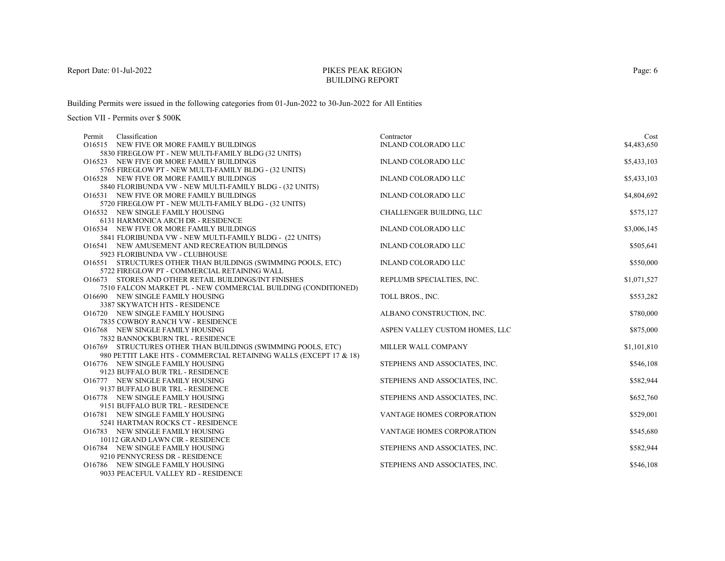# PIKES PEAK REGIONBUILDING REPORT

Building Permits were issued in the following categories from 01-Jun-2022 to 30-Jun-2022 for All Entities

| Classification<br>Permit                                                                                                          | Contractor                     | Cost        |
|-----------------------------------------------------------------------------------------------------------------------------------|--------------------------------|-------------|
| O16515 NEW FIVE OR MORE FAMILY BUILDINGS                                                                                          | <b>INLAND COLORADO LLC</b>     | \$4,483,650 |
| 5830 FIREGLOW PT - NEW MULTI-FAMILY BLDG (32 UNITS)                                                                               |                                |             |
| O16523 NEW FIVE OR MORE FAMILY BUILDINGS                                                                                          | <b>INLAND COLORADO LLC</b>     | \$5,433,103 |
| 5765 FIREGLOW PT - NEW MULTI-FAMILY BLDG - (32 UNITS)                                                                             |                                |             |
| O16528 NEW FIVE OR MORE FAMILY BUILDINGS                                                                                          | <b>INLAND COLORADO LLC</b>     | \$5,433,103 |
| 5840 FLORIBUNDA VW - NEW MULTI-FAMILY BLDG - (32 UNITS)                                                                           |                                |             |
| O16531 NEW FIVE OR MORE FAMILY BUILDINGS                                                                                          | <b>INLAND COLORADO LLC</b>     | \$4,804,692 |
| 5720 FIREGLOW PT - NEW MULTI-FAMILY BLDG - (32 UNITS)                                                                             |                                |             |
| O16532 NEW SINGLE FAMILY HOUSING                                                                                                  | CHALLENGER BUILDING, LLC       | \$575,127   |
| 6131 HARMONICA ARCH DR - RESIDENCE                                                                                                |                                |             |
| O16534 NEW FIVE OR MORE FAMILY BUILDINGS                                                                                          | <b>INLAND COLORADO LLC</b>     | \$3,006,145 |
| 5841 FLORIBUNDA VW - NEW MULTI-FAMILY BLDG - (22 UNITS)                                                                           |                                |             |
| O16541 NEW AMUSEMENT AND RECREATION BUILDINGS                                                                                     | <b>INLAND COLORADO LLC</b>     | \$505,641   |
| 5923 FLORIBUNDA VW - CLUBHOUSE                                                                                                    |                                |             |
| O16551 STRUCTURES OTHER THAN BUILDINGS (SWIMMING POOLS, ETC)                                                                      | <b>INLAND COLORADO LLC</b>     | \$550,000   |
| 5722 FIREGLOW PT - COMMERCIAL RETAINING WALL                                                                                      |                                |             |
| O16673 STORES AND OTHER RETAIL BUILDINGS/INT FINISHES                                                                             | REPLUMB SPECIALTIES, INC.      | \$1,071,527 |
| 7510 FALCON MARKET PL - NEW COMMERCIAL BUILDING (CONDITIONED)                                                                     |                                |             |
| O16690 NEW SINGLE FAMILY HOUSING                                                                                                  | TOLL BROS., INC.               | \$553,282   |
| 3387 SKYWATCH HTS - RESIDENCE                                                                                                     |                                |             |
| O16720 NEW SINGLE FAMILY HOUSING                                                                                                  | ALBANO CONSTRUCTION, INC.      | \$780,000   |
| 7835 COWBOY RANCH VW - RESIDENCE                                                                                                  |                                |             |
| O16768 NEW SINGLE FAMILY HOUSING                                                                                                  | ASPEN VALLEY CUSTOM HOMES, LLC | \$875,000   |
| 7832 BANNOCKBURN TRL - RESIDENCE                                                                                                  |                                |             |
| O16769 STRUCTURES OTHER THAN BUILDINGS (SWIMMING POOLS, ETC)<br>980 PETTIT LAKE HTS - COMMERCIAL RETAINING WALLS (EXCEPT 17 & 18) | MILLER WALL COMPANY            | \$1,101,810 |
| O16776 NEW SINGLE FAMILY HOUSING                                                                                                  | STEPHENS AND ASSOCIATES, INC.  | \$546,108   |
| 9123 BUFFALO BUR TRL - RESIDENCE                                                                                                  |                                |             |
| O16777 NEW SINGLE FAMILY HOUSING                                                                                                  | STEPHENS AND ASSOCIATES, INC.  | \$582,944   |
| 9137 BUFFALO BUR TRL - RESIDENCE                                                                                                  |                                |             |
| O16778 NEW SINGLE FAMILY HOUSING                                                                                                  | STEPHENS AND ASSOCIATES, INC.  | \$652,760   |
| 9151 BUFFALO BUR TRL - RESIDENCE                                                                                                  |                                |             |
| O16781 NEW SINGLE FAMILY HOUSING                                                                                                  | VANTAGE HOMES CORPORATION      | \$529,001   |
| 5241 HARTMAN ROCKS CT - RESIDENCE                                                                                                 |                                |             |
| O16783 NEW SINGLE FAMILY HOUSING                                                                                                  | VANTAGE HOMES CORPORATION      | \$545,680   |
| 10112 GRAND LAWN CIR - RESIDENCE                                                                                                  |                                |             |
| O16784 NEW SINGLE FAMILY HOUSING                                                                                                  | STEPHENS AND ASSOCIATES, INC.  | \$582,944   |
| 9210 PENNYCRESS DR - RESIDENCE                                                                                                    |                                |             |
| O16786 NEW SINGLE FAMILY HOUSING                                                                                                  | STEPHENS AND ASSOCIATES, INC.  | \$546,108   |
| 9033 PEACEFUL VALLEY RD - RESIDENCE                                                                                               |                                |             |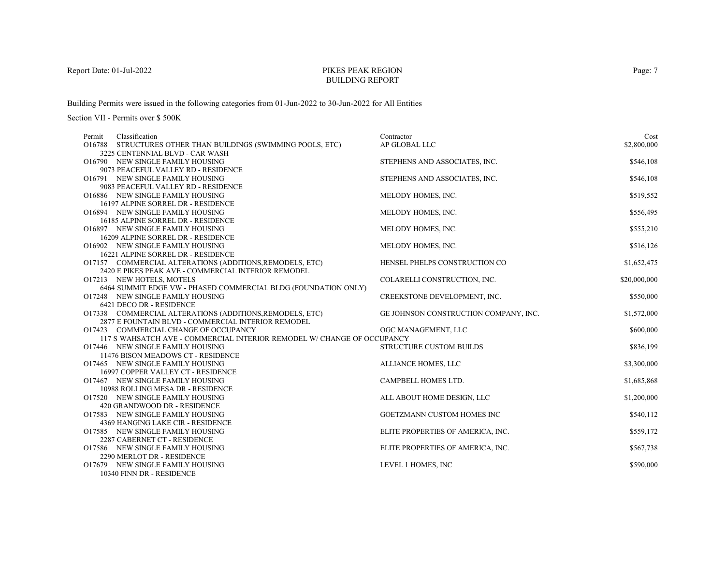# PIKES PEAK REGIONBUILDING REPORT

Building Permits were issued in the following categories from 01-Jun-2022 to 30-Jun-2022 for All Entities

| Classification<br>Permit                                                | Contractor                            | Cost         |
|-------------------------------------------------------------------------|---------------------------------------|--------------|
| O16788 STRUCTURES OTHER THAN BUILDINGS (SWIMMING POOLS, ETC)            | AP GLOBAL LLC                         | \$2,800,000  |
| 3225 CENTENNIAL BLVD - CAR WASH                                         |                                       |              |
| O16790 NEW SINGLE FAMILY HOUSING                                        | STEPHENS AND ASSOCIATES, INC.         | \$546,108    |
| 9073 PEACEFUL VALLEY RD - RESIDENCE                                     |                                       |              |
| O16791 NEW SINGLE FAMILY HOUSING                                        | STEPHENS AND ASSOCIATES, INC.         | \$546,108    |
| 9083 PEACEFUL VALLEY RD - RESIDENCE                                     |                                       |              |
| O16886 NEW SINGLE FAMILY HOUSING                                        | MELODY HOMES, INC.                    | \$519,552    |
| 16197 ALPINE SORREL DR - RESIDENCE                                      |                                       |              |
| O16894 NEW SINGLE FAMILY HOUSING                                        | MELODY HOMES, INC.                    | \$556,495    |
| 16185 ALPINE SORREL DR - RESIDENCE                                      |                                       |              |
| O16897 NEW SINGLE FAMILY HOUSING                                        | MELODY HOMES, INC.                    | \$555,210    |
| 16209 ALPINE SORREL DR - RESIDENCE                                      |                                       |              |
| O16902 NEW SINGLE FAMILY HOUSING                                        | MELODY HOMES, INC.                    | \$516,126    |
| 16221 ALPINE SORREL DR - RESIDENCE                                      |                                       |              |
| O17157 COMMERCIAL ALTERATIONS (ADDITIONS, REMODELS, ETC)                | HENSEL PHELPS CONSTRUCTION CO         | \$1,652,475  |
| 2420 E PIKES PEAK AVE - COMMERCIAL INTERIOR REMODEL                     |                                       |              |
| O17213 NEW HOTELS, MOTELS                                               | COLARELLI CONSTRUCTION, INC.          | \$20,000,000 |
| 6464 SUMMIT EDGE VW - PHASED COMMERCIAL BLDG (FOUNDATION ONLY)          |                                       |              |
| O17248 NEW SINGLE FAMILY HOUSING                                        | CREEKSTONE DEVELOPMENT, INC.          | \$550,000    |
| 6421 DECO DR - RESIDENCE                                                |                                       |              |
| O17338 COMMERCIAL ALTERATIONS (ADDITIONS, REMODELS, ETC)                | GE JOHNSON CONSTRUCTION COMPANY, INC. | \$1,572,000  |
| 2877 E FOUNTAIN BLVD - COMMERCIAL INTERIOR REMODEL                      |                                       |              |
| O17423 COMMERCIAL CHANGE OF OCCUPANCY                                   | OGC MANAGEMENT, LLC                   | \$600,000    |
| 117 S WAHSATCH AVE - COMMERCIAL INTERIOR REMODEL W/ CHANGE OF OCCUPANCY |                                       |              |
| O17446 NEW SINGLE FAMILY HOUSING                                        | <b>STRUCTURE CUSTOM BUILDS</b>        | \$836,199    |
| 11476 BISON MEADOWS CT - RESIDENCE                                      |                                       |              |
| O17465 NEW SINGLE FAMILY HOUSING                                        | ALLIANCE HOMES, LLC                   | \$3,300,000  |
| 16997 COPPER VALLEY CT - RESIDENCE                                      |                                       |              |
| O17467 NEW SINGLE FAMILY HOUSING                                        | CAMPBELL HOMES LTD.                   | \$1,685,868  |
| 10988 ROLLING MESA DR - RESIDENCE<br>O17520 NEW SINGLE FAMILY HOUSING   | ALL ABOUT HOME DESIGN, LLC            | \$1,200,000  |
| 420 GRANDWOOD DR - RESIDENCE                                            |                                       |              |
| O17583 NEW SINGLE FAMILY HOUSING                                        | GOETZMANN CUSTOM HOMES INC            | \$540,112    |
| 4369 HANGING LAKE CIR - RESIDENCE                                       |                                       |              |
| O17585 NEW SINGLE FAMILY HOUSING                                        | ELITE PROPERTIES OF AMERICA, INC.     | \$559,172    |
| 2287 CABERNET CT - RESIDENCE                                            |                                       |              |
| O17586 NEW SINGLE FAMILY HOUSING                                        | ELITE PROPERTIES OF AMERICA, INC.     | \$567,738    |
| 2290 MERLOT DR - RESIDENCE                                              |                                       |              |
| O17679 NEW SINGLE FAMILY HOUSING                                        | LEVEL 1 HOMES, INC                    | \$590,000    |
| 10340 FINN DR - RESIDENCE                                               |                                       |              |
|                                                                         |                                       |              |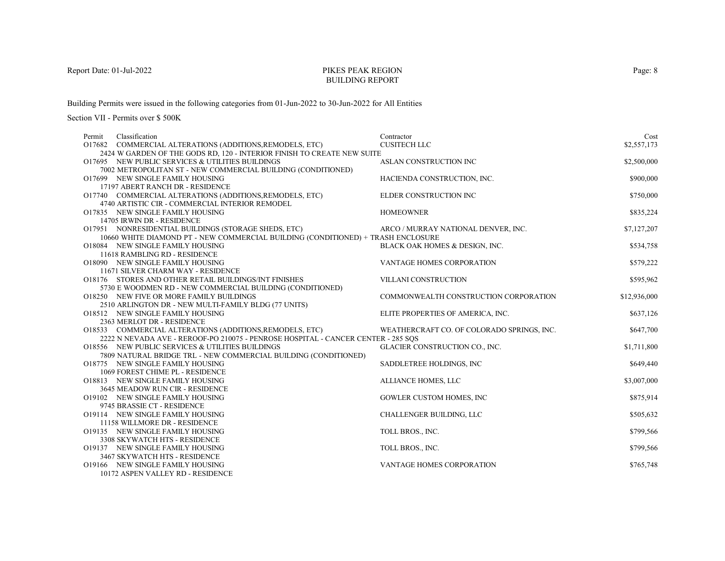# PIKES PEAK REGIONBUILDING REPORT

Building Permits were issued in the following categories from 01-Jun-2022 to 30-Jun-2022 for All Entities

Section VII - Permits over \$ 500K

| Classification<br>Permit                                                          | Contractor                                 | Cost         |
|-----------------------------------------------------------------------------------|--------------------------------------------|--------------|
| O17682 COMMERCIAL ALTERATIONS (ADDITIONS, REMODELS, ETC)                          | <b>CUSITECH LLC</b>                        | \$2,557,173  |
| 2424 W GARDEN OF THE GODS RD, 120 - INTERIOR FINISH TO CREATE NEW SUITE           |                                            |              |
| O17695 NEW PUBLIC SERVICES & UTILITIES BUILDINGS                                  | ASLAN CONSTRUCTION INC                     | \$2,500,000  |
| 7002 METROPOLITAN ST - NEW COMMERCIAL BUILDING (CONDITIONED)                      |                                            |              |
| O17699 NEW SINGLE FAMILY HOUSING                                                  | HACIENDA CONSTRUCTION, INC.                | \$900,000    |
| 17197 ABERT RANCH DR - RESIDENCE                                                  |                                            |              |
| O17740 COMMERCIAL ALTERATIONS (ADDITIONS, REMODELS, ETC)                          | ELDER CONSTRUCTION INC                     | \$750,000    |
| 4740 ARTISTIC CIR - COMMERCIAL INTERIOR REMODEL                                   |                                            |              |
| O17835 NEW SINGLE FAMILY HOUSING                                                  | <b>HOMEOWNER</b>                           | \$835,224    |
| 14705 IRWIN DR - RESIDENCE                                                        |                                            |              |
| O17951 NONRESIDENTIAL BUILDINGS (STORAGE SHEDS, ETC)                              | ARCO / MURRAY NATIONAL DENVER, INC.        | \$7,127,207  |
| 10660 WHITE DIAMOND PT - NEW COMMERCIAL BUILDING (CONDITIONED) + TRASH ENCLOSURE  |                                            |              |
| O18084 NEW SINGLE FAMILY HOUSING                                                  | BLACK OAK HOMES & DESIGN, INC.             | \$534,758    |
| 11618 RAMBLING RD - RESIDENCE                                                     |                                            |              |
| O18090 NEW SINGLE FAMILY HOUSING                                                  | VANTAGE HOMES CORPORATION                  | \$579,222    |
| 11671 SILVER CHARM WAY - RESIDENCE                                                |                                            |              |
| O18176 STORES AND OTHER RETAIL BUILDINGS/INT FINISHES                             | VILLANI CONSTRUCTION                       | \$595,962    |
| 5730 E WOODMEN RD - NEW COMMERCIAL BUILDING (CONDITIONED)                         |                                            |              |
| O18250 NEW FIVE OR MORE FAMILY BUILDINGS                                          | COMMONWEALTH CONSTRUCTION CORPORATION      | \$12,936,000 |
| 2510 ARLINGTON DR - NEW MULTI-FAMILY BLDG (77 UNITS)                              |                                            |              |
| O18512 NEW SINGLE FAMILY HOUSING                                                  | ELITE PROPERTIES OF AMERICA, INC.          | \$637,126    |
| 2363 MERLOT DR - RESIDENCE                                                        |                                            |              |
| O18533 COMMERCIAL ALTERATIONS (ADDITIONS, REMODELS, ETC)                          | WEATHERCRAFT CO. OF COLORADO SPRINGS, INC. | \$647,700    |
| 2222 N NEVADA AVE - REROOF-PO 210075 - PENROSE HOSPITAL - CANCER CENTER - 285 SOS |                                            |              |
| O18556 NEW PUBLIC SERVICES & UTILITIES BUILDINGS                                  | GLACIER CONSTRUCTION CO., INC.             | \$1,711,800  |
| 7809 NATURAL BRIDGE TRL - NEW COMMERCIAL BUILDING (CONDITIONED)                   |                                            |              |
| O18775 NEW SINGLE FAMILY HOUSING                                                  | SADDLETREE HOLDINGS, INC                   | \$649,440    |
| 1069 FOREST CHIME PL - RESIDENCE                                                  |                                            |              |
| O18813 NEW SINGLE FAMILY HOUSING<br>3645 MEADOW RUN CIR - RESIDENCE               | ALLIANCE HOMES, LLC                        | \$3,007,000  |
| O19102 NEW SINGLE FAMILY HOUSING                                                  | <b>GOWLER CUSTOM HOMES, INC</b>            | \$875,914    |
| 9745 BRASSIE CT - RESIDENCE                                                       |                                            |              |
| O19114 NEW SINGLE FAMILY HOUSING                                                  | CHALLENGER BUILDING, LLC                   | \$505,632    |
| 11158 WILLMORE DR - RESIDENCE                                                     |                                            |              |
| O19135 NEW SINGLE FAMILY HOUSING                                                  | TOLL BROS., INC.                           | \$799,566    |
| 3308 SKYWATCH HTS - RESIDENCE                                                     |                                            |              |
| O19137 NEW SINGLE FAMILY HOUSING                                                  | TOLL BROS., INC.                           | \$799,566    |
| 3467 SKYWATCH HTS - RESIDENCE                                                     |                                            |              |
| O19166 NEW SINGLE FAMILY HOUSING                                                  | VANTAGE HOMES CORPORATION                  | \$765,748    |
| 10172 ASPEN VALLEY RD - RESIDENCE                                                 |                                            |              |
|                                                                                   |                                            |              |

Page: 8